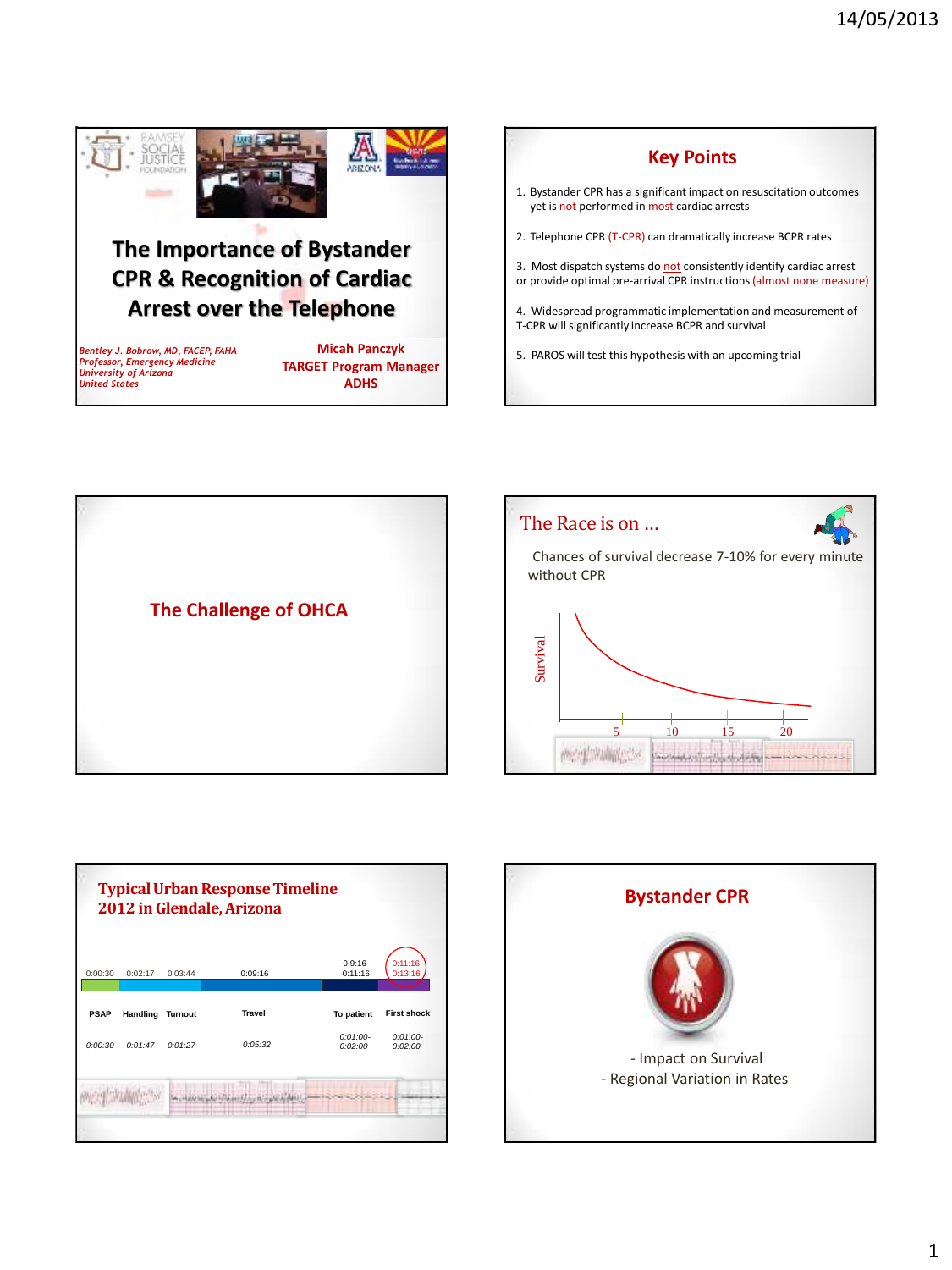

## **The Importance of Bystander CPR & Recognition of Cardiac Arrest over the Telephone**

*Bentley J. Bobrow, MD, FACEP, FAHA Professor, Emergency Medicine University of Arizona United States*

**Micah Panczyk TARGET Program Manager ADHS**









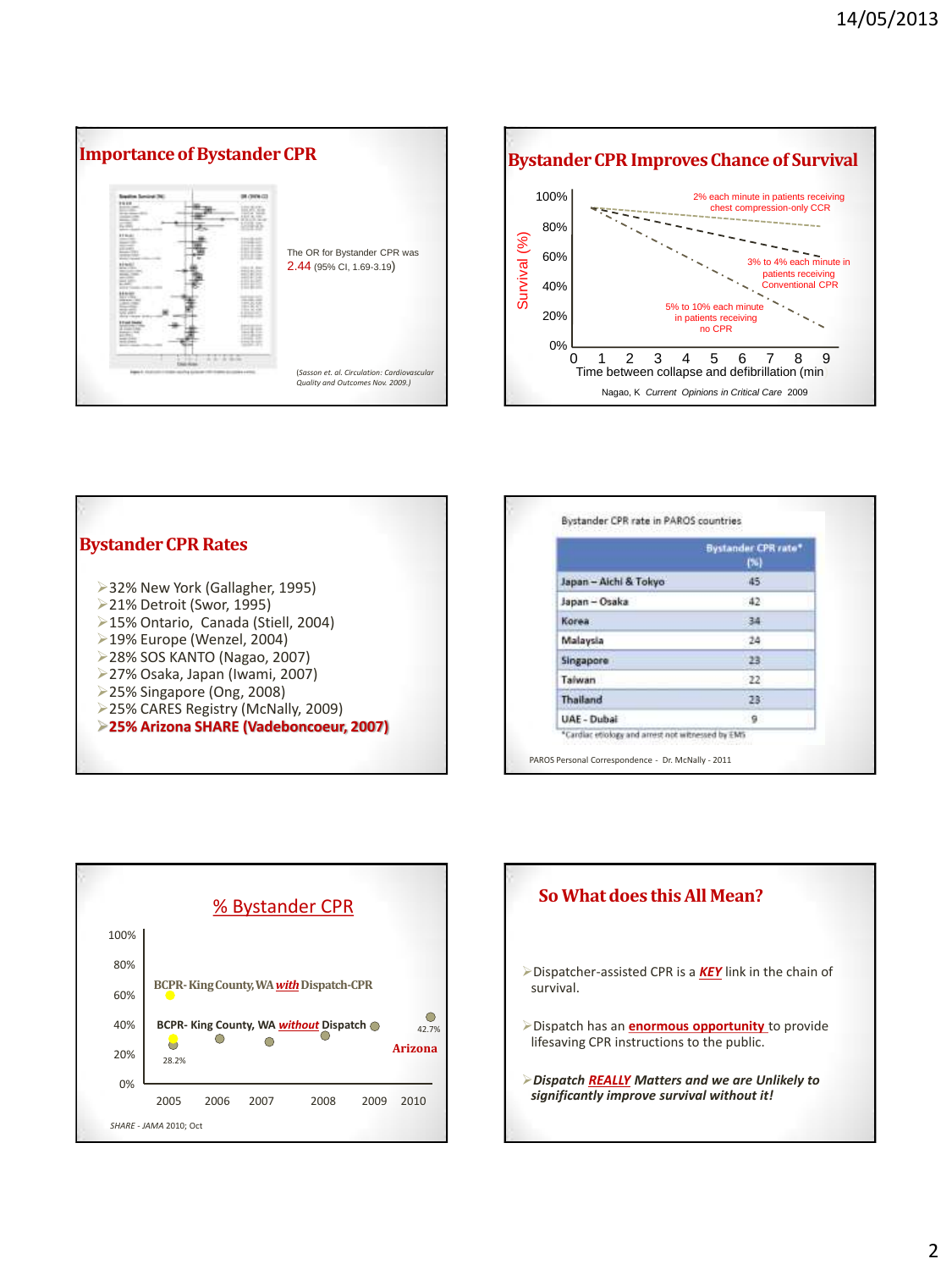



| <b>Bystander CPR Rates</b>                                                                                                                                                            |                       | <b>Bystander CPR rate*</b><br>(%) |
|---------------------------------------------------------------------------------------------------------------------------------------------------------------------------------------|-----------------------|-----------------------------------|
| ▶ 32% New York (Gallagher, 1995)<br>▶ 21% Detroit (Swor, 1995)<br>>15% Ontario, Canada (Stiell, 2004)                                                                                 | Japan - Aichi & Tokyo | 45                                |
|                                                                                                                                                                                       | Japan - Osaka         | 42                                |
|                                                                                                                                                                                       | Korea                 | 34                                |
| ▶19% Europe (Wenzel, 2004)                                                                                                                                                            | Malaysia              | 24                                |
| >28% SOS KANTO (Nagao, 2007)<br>>27% Osaka, Japan (Iwami, 2007)<br>$\geq$ 25% Singapore (Ong, 2008)<br>>25% CARES Registry (McNally, 2009)<br>>25% Arizona SHARE (Vadeboncoeur, 2007) | Singapore             | 23                                |
|                                                                                                                                                                                       | Taiwan                | 22                                |
|                                                                                                                                                                                       | Thailand              | 23                                |
|                                                                                                                                                                                       | UAE - Dubai           |                                   |



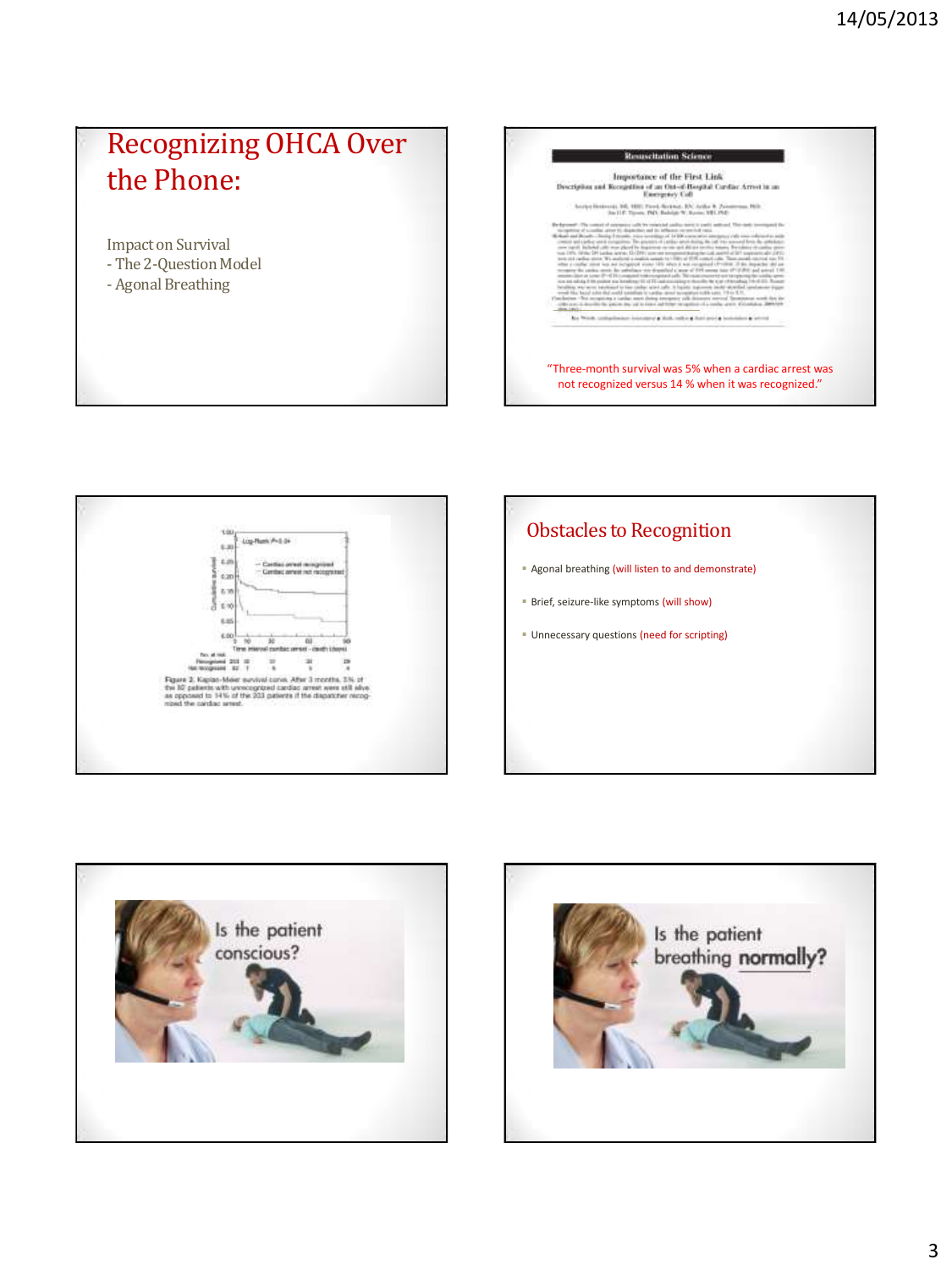# Recognizing OHCA Over the Phone:

Impact on Survival

- The 2-Question Model
- Agonal Breathing









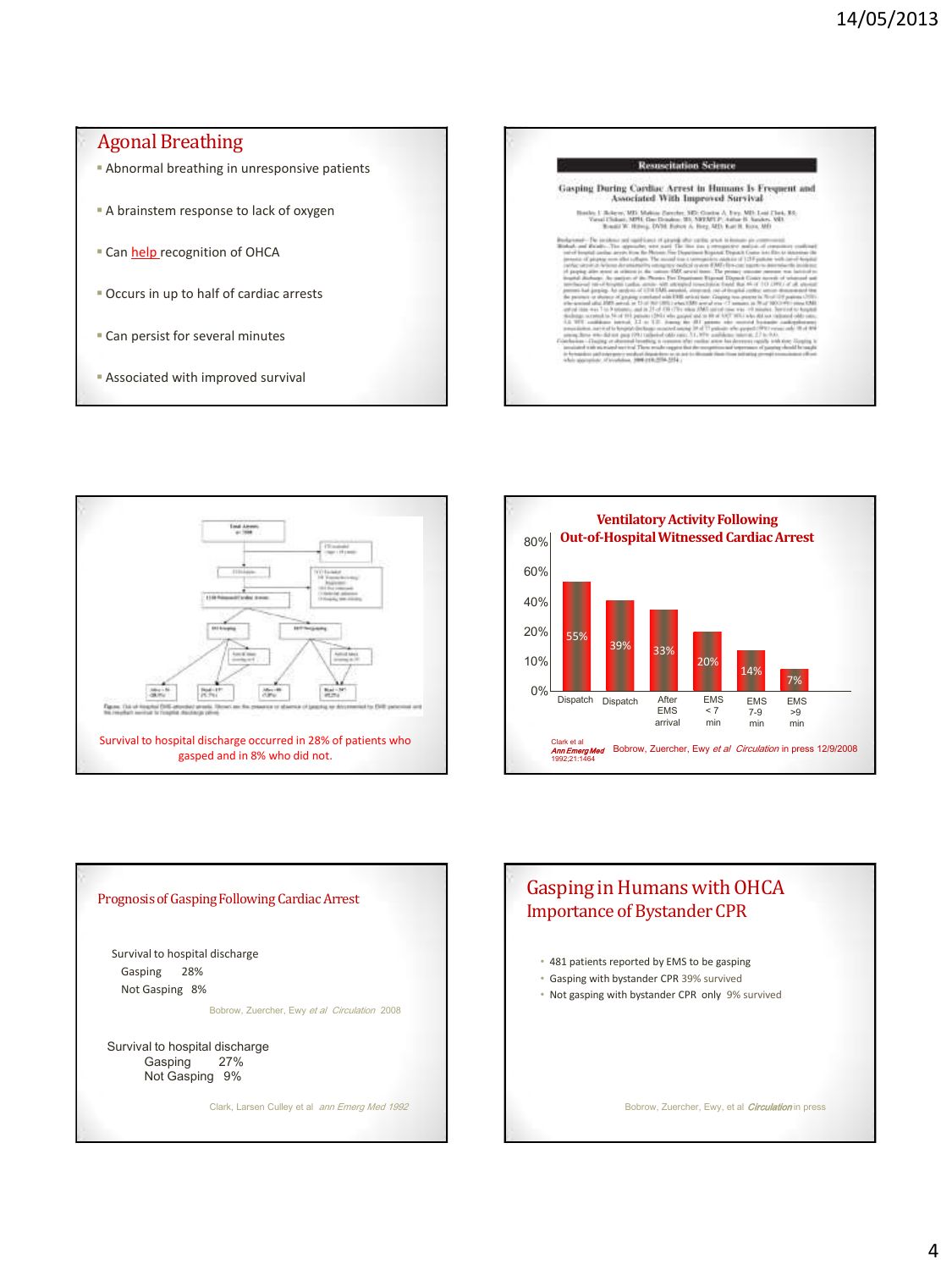#### **Agonal Breathing Resuscitation Science**  Abnormal breathing in unresponsive patients Gasping During Cardiac Arrest in Humans Is Frequent and<br>Associated With Improved Survival A brainstem response to lack of oxygen  $\log 1$  Bolseav, MD. Makian Zarechu, ME Guarin $\Lambda$  <br/> Byn, MD. Lois Chuk, RS, Yacai Chikari, MPH, Gas Draukos, WA ARTATLP, An<br/>tar R. Sander, MR. Round W. Hirroj, DVM. Exter $\Lambda$  <br/> Byn, MD. Kart R. Kora, MD. Round ti s .<br>All the construction and complete control of property after symbol growth follows and all all the control of the films are a protection of the control of the control of the control of the control of the control of the co Can help recognition of OHCA ic po  $m$  The  $m$ closes distantante integracy node)<br>nel at alimini in the vations EdS are<br>An auditor of the Phonics First Dead of hospital cadia, and a shift attended conclusion<br>ing. An and on of 1710 DML areals), singless the<br>hotel of graphy combined with DML article there Occurs in up to half of cardiac arrests of the passes (2017) Also Most 193 patients to<br>have been at 2.2 m 1<br>with the pap 1931 talks<br>with an pap 1931 talks<br>with the ball the why paper and in 1974-192<br>1. Journal We - IRT announce wh<br>massed among 38 of 17 patients<br>of odds suice, 3.1, 1974, and does Can persist for several minutes Associated with improved survival